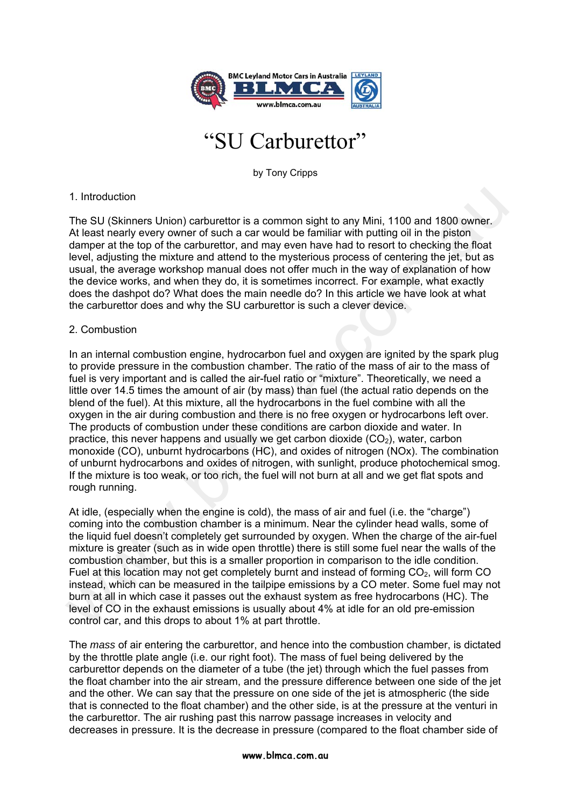

# "SU Carburettor"

by Tony Cripps

## 1. Introduction

The SU (Skinners Union) carburettor is a common sight to any Mini, 1100 and 1800 owner. At least nearly every owner of such a car would be familiar with putting oil in the piston damper at the top of the carburettor, and may even have had to resort to checking the float level, adjusting the mixture and attend to the mysterious process of centering the jet, but as usual, the average workshop manual does not offer much in the way of explanation of how the device works, and when they do, it is sometimes incorrect. For example, what exactly does the dashpot do? What does the main needle do? In this article we have look at what the carburettor does and why the SU carburettor is such a clever device.

### 2. Combustion

In an internal combustion engine, hydrocarbon fuel and oxygen are ignited by the spark plug to provide pressure in the combustion chamber. The ratio of the mass of air to the mass of fuel is very important and is called the air-fuel ratio or "mixture". Theoretically, we need a little over 14.5 times the amount of air (by mass) than fuel (the actual ratio depends on the blend of the fuel). At this mixture, all the hydrocarbons in the fuel combine with all the oxygen in the air during combustion and there is no free oxygen or hydrocarbons left over. The products of combustion under these conditions are carbon dioxide and water. In practice, this never happens and usually we get carbon dioxide  $(CO<sub>2</sub>)$ , water, carbon monoxide (CO), unburnt hydrocarbons (HC), and oxides of nitrogen (NOx). The combination of unburnt hydrocarbons and oxides of nitrogen, with sunlight, produce photochemical smog. If the mixture is too weak, or too rich, the fuel will not burn at all and we get flat spots and rough running. 1. Introduction<br>The SU (Skinners Union) carburettor is a common sight to any Mini, 1100 and 1800 owner.<br>Alt least nearly every owner of such a car would be familiar with putting oil in the pistome.<br>Alt least nearly every o

At idle, (especially when the engine is cold), the mass of air and fuel (i.e. the "charge") coming into the combustion chamber is a minimum. Near the cylinder head walls, some of the liquid fuel doesn't completely get surrounded by oxygen. When the charge of the air-fuel mixture is greater (such as in wide open throttle) there is still some fuel near the walls of the combustion chamber, but this is a smaller proportion in comparison to the idle condition. Fuel at this location may not get completely burnt and instead of forming CO<sub>2</sub>, will form CO instead, which can be measured in the tailpipe emissions by a CO meter. Some fuel may not burn at all in which case it passes out the exhaust system as free hydrocarbons (HC). The level of CO in the exhaust emissions is usually about 4% at idle for an old pre-emission control car, and this drops to about 1% at part throttle.

The *mass* of air entering the carburettor, and hence into the combustion chamber, is dictated by the throttle plate angle (i.e. our right foot). The mass of fuel being delivered by the carburettor depends on the diameter of a tube (the jet) through which the fuel passes from the float chamber into the air stream, and the pressure difference between one side of the jet and the other. We can say that the pressure on one side of the jet is atmospheric (the side that is connected to the float chamber) and the other side, is at the pressure at the venturi in the carburettor. The air rushing past this narrow passage increases in velocity and decreases in pressure. It is the decrease in pressure (compared to the float chamber side of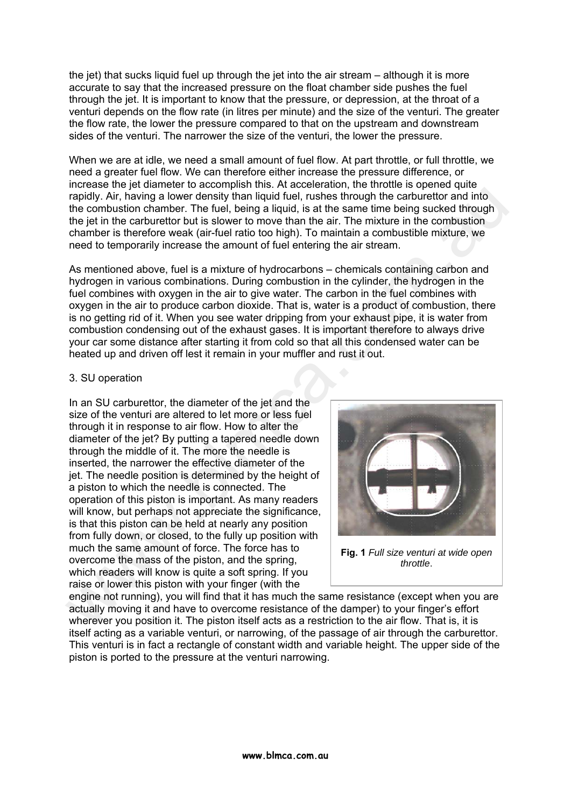the jet) that sucks liquid fuel up through the jet into the air stream – although it is more accurate to say that the increased pressure on the float chamber side pushes the fuel through the jet. It is important to know that the pressure, or depression, at the throat of a venturi depends on the flow rate (in litres per minute) and the size of the venturi. The greater the flow rate, the lower the pressure compared to that on the upstream and downstream sides of the venturi. The narrower the size of the venturi, the lower the pressure.

When we are at idle, we need a small amount of fuel flow. At part throttle, or full throttle, we need a greater fuel flow. We can therefore either increase the pressure difference, or increase the jet diameter to accomplish this. At acceleration, the throttle is opened quite rapidly. Air, having a lower density than liquid fuel, rushes through the carburettor and into the combustion chamber. The fuel, being a liquid, is at the same time being sucked through the jet in the carburettor but is slower to move than the air. The mixture in the combustion chamber is therefore weak (air-fuel ratio too high). To maintain a combustible mixture, we need to temporarily increase the amount of fuel entering the air stream.

As mentioned above, fuel is a mixture of hydrocarbons – chemicals containing carbon and hydrogen in various combinations. During combustion in the cylinder, the hydrogen in the fuel combines with oxygen in the air to give water. The carbon in the fuel combines with oxygen in the air to produce carbon dioxide. That is, water is a product of combustion, there is no getting rid of it. When you see water dripping from your exhaust pipe, it is water from combustion condensing out of the exhaust gases. It is important therefore to always drive your car some distance after starting it from cold so that all this condensed water can be heated up and driven off lest it remain in your muffler and rust it out.

#### 3. SU operation

In an SU carburettor, the diameter of the jet and the size of the venturi are altered to let more or less fuel through it in response to air flow. How to alter the diameter of the jet? By putting a tapered needle down through the middle of it. The more the needle is inserted, the narrower the effective diameter of the jet. The needle position is determined by the height of a piston to which the needle is connected. The operation of this piston is important. As many readers will know, but perhaps not appreciate the significance, is that this piston can be held at nearly any position from fully down, or closed, to the fully up position with much the same amount of force. The force has to overcome the mass of the piston, and the spring, which readers will know is quite a soft spring. If you raise or lower this piston with your finger (with the rapidly. Air. having a lower density than liquid fuel, rushes through the carburettor and into ombustion chamber. The fuel being a liquid, is at the same time being sucked through<br>the pet in the carburettor but is slower t



**Fig. 1** *Full size venturi at wide open throttle*.

engine not running), you will find that it has much the same resistance (except when you are actually moving it and have to overcome resistance of the damper) to your finger's effort wherever you position it. The piston itself acts as a restriction to the air flow. That is, it is itself acting as a variable venturi, or narrowing, of the passage of air through the carburettor. This venturi is in fact a rectangle of constant width and variable height. The upper side of the piston is ported to the pressure at the venturi narrowing.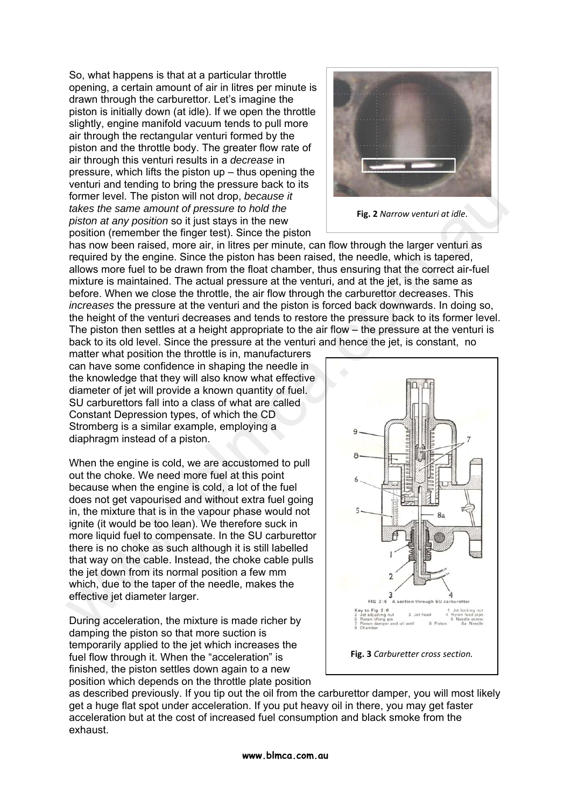So, what happens is that at a particular throttle opening, a certain amount of air in litres per minute is drawn through the carburettor. Let's imagine the piston is initially down (at idle). If we open the throttle slightly, engine manifold vacuum tends to pull more air through the rectangular venturi formed by the piston and the throttle body. The greater flow rate of air through this venturi results in a *decrease* in pressure, which lifts the piston up – thus opening the venturi and tending to bring the pressure back to its former level. The piston will not drop, *because it takes the same amount of pressure to hold the piston at any position* so it just stays in the new position (remember the finger test). Since the piston



**Fig. 2** *Narrow venturi at idle*.

has now been raised, more air, in litres per minute, can flow through the larger venturi as required by the engine. Since the piston has been raised, the needle, which is tapered, allows more fuel to be drawn from the float chamber, thus ensuring that the correct air-fuel mixture is maintained. The actual pressure at the venturi, and at the jet, is the same as before. When we close the throttle, the air flow through the carburettor decreases. This *increases* the pressure at the venturi and the piston is forced back downwards. In doing so, the height of the venturi decreases and tends to restore the pressure back to its former level. The piston then settles at a height appropriate to the air flow – the pressure at the venturi is back to its old level. Since the pressure at the venturi and hence the jet, is constant, no

matter what position the throttle is in, manufacturers can have some confidence in shaping the needle in the knowledge that they will also know what effective diameter of jet will provide a known quantity of fuel. SU carburettors fall into a class of what are called Constant Depression types, of which the CD Stromberg is a similar example, employing a diaphragm instead of a piston.

When the engine is cold, we are accustomed to pull out the choke. We need more fuel at this point because when the engine is cold, a lot of the fuel does not get vapourised and without extra fuel going in, the mixture that is in the vapour phase would not ignite (it would be too lean). We therefore suck in more liquid fuel to compensate. In the SU carburettor there is no choke as such although it is still labelled that way on the cable. Instead, the choke cable pulls the jet down from its normal position a few mm which, due to the taper of the needle, makes the effective jet diameter larger.

During acceleration, the mixture is made richer by damping the piston so that more suction is temporarily applied to the jet which increases the fuel flow through it. When the "acceleration" is finished, the piston settles down again to a new position which depends on the throttle plate position



as described previously. If you tip out the oil from the carburettor damper, you will most likely get a huge flat spot under acceleration. If you put heavy oil in there, you may get faster acceleration but at the cost of increased fuel consumption and black smoke from the exhaust.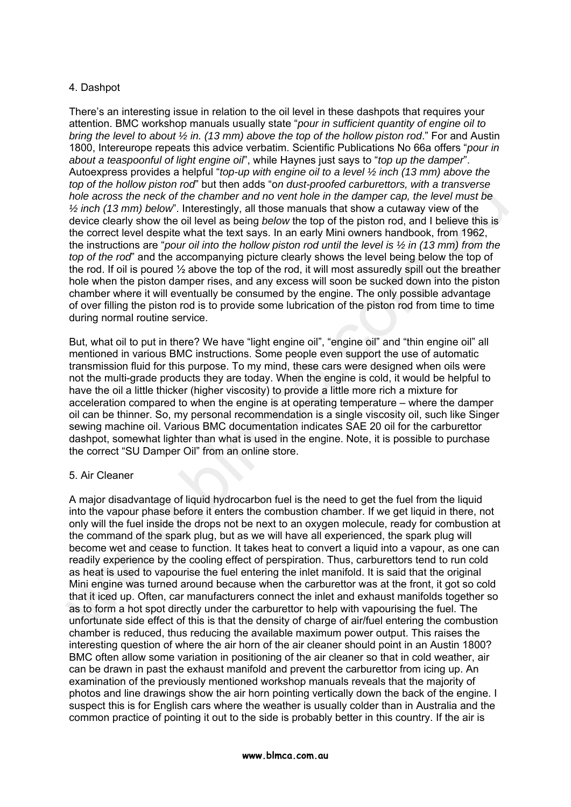# 4. Dashpot

There's an interesting issue in relation to the oil level in these dashpots that requires your attention. BMC workshop manuals usually state "*pour in sufficient quantity of engine oil to bring the level to about ½ in. (13 mm) above the top of the hollow piston rod*." For and Austin 1800, Intereurope repeats this advice verbatim. Scientific Publications No 66a offers "*pour in about a teaspoonful of light engine oil*", while Haynes just says to "*top up the damper*". Autoexpress provides a helpful "*top-up with engine oil to a level ½ inch (13 mm) above the top of the hollow piston rod*" but then adds "o*n dust-proofed carburettors, with a transverse hole across the neck of the chamber and no vent hole in the damper cap, the level must be ½ inch (13 mm) below*". Interestingly, all those manuals that show a cutaway view of the device clearly show the oil level as being *below* the top of the piston rod, and I believe this is the correct level despite what the text says. In an early Mini owners handbook, from 1962, the instructions are "*pour oil into the hollow piston rod until the level is ½ in (13 mm) from the top of the rod*" and the accompanying picture clearly shows the level being below the top of the rod. If oil is poured ½ above the top of the rod, it will most assuredly spill out the breather hole when the piston damper rises, and any excess will soon be sucked down into the piston chamber where it will eventually be consumed by the engine. The only possible advantage of over filling the piston rod is to provide some lubrication of the piston rod from time to time during normal routine service.

But, what oil to put in there? We have "light engine oil", "engine oil" and "thin engine oil" all mentioned in various BMC instructions. Some people even support the use of automatic transmission fluid for this purpose. To my mind, these cars were designed when oils were not the multi-grade products they are today. When the engine is cold, it would be helpful to have the oil a little thicker (higher viscosity) to provide a little more rich a mixture for acceleration compared to when the engine is at operating temperature – where the damper oil can be thinner. So, my personal recommendation is a single viscosity oil, such like Singer sewing machine oil. Various BMC documentation indicates SAE 20 oil for the carburettor dashpot, somewhat lighter than what is used in the engine. Note, it is possible to purchase the correct "SU Damper Oil" from an online store.

#### 5. Air Cleaner

A major disadvantage of liquid hydrocarbon fuel is the need to get the fuel from the liquid into the vapour phase before it enters the combustion chamber. If we get liquid in there, not only will the fuel inside the drops not be next to an oxygen molecule, ready for combustion at the command of the spark plug, but as we will have all experienced, the spark plug will become wet and cease to function. It takes heat to convert a liquid into a vapour, as one can readily experience by the cooling effect of perspiration. Thus, carburettors tend to run cold as heat is used to vapourise the fuel entering the inlet manifold. It is said that the original Mini engine was turned around because when the carburettor was at the front, it got so cold that it iced up. Often, car manufacturers connect the inlet and exhaust manifolds together so as to form a hot spot directly under the carburettor to help with vapourising the fuel. The unfortunate side effect of this is that the density of charge of air/fuel entering the combustion chamber is reduced, thus reducing the available maximum power output. This raises the interesting question of where the air horn of the air cleaner should point in an Austin 1800? BMC often allow some variation in positioning of the air cleaner so that in cold weather, air can be drawn in past the exhaust manifold and prevent the carburettor from icing up. An examination of the previously mentioned workshop manuals reveals that the majority of photos and line drawings show the air horn pointing vertically down the back of the engine. I suspect this is for English cars where the weather is usually colder than in Australia and the common practice of pointing it out to the side is probably better in this country. If the air is hole across the neck of the channer and no vent hole in the damper can, the level must be  $\chi$  inch (f 3 mm) below! Interestingly, all those manuals that show a collawy wiew of the  $\chi$  inch (f 3 mm) below! Interestingly,